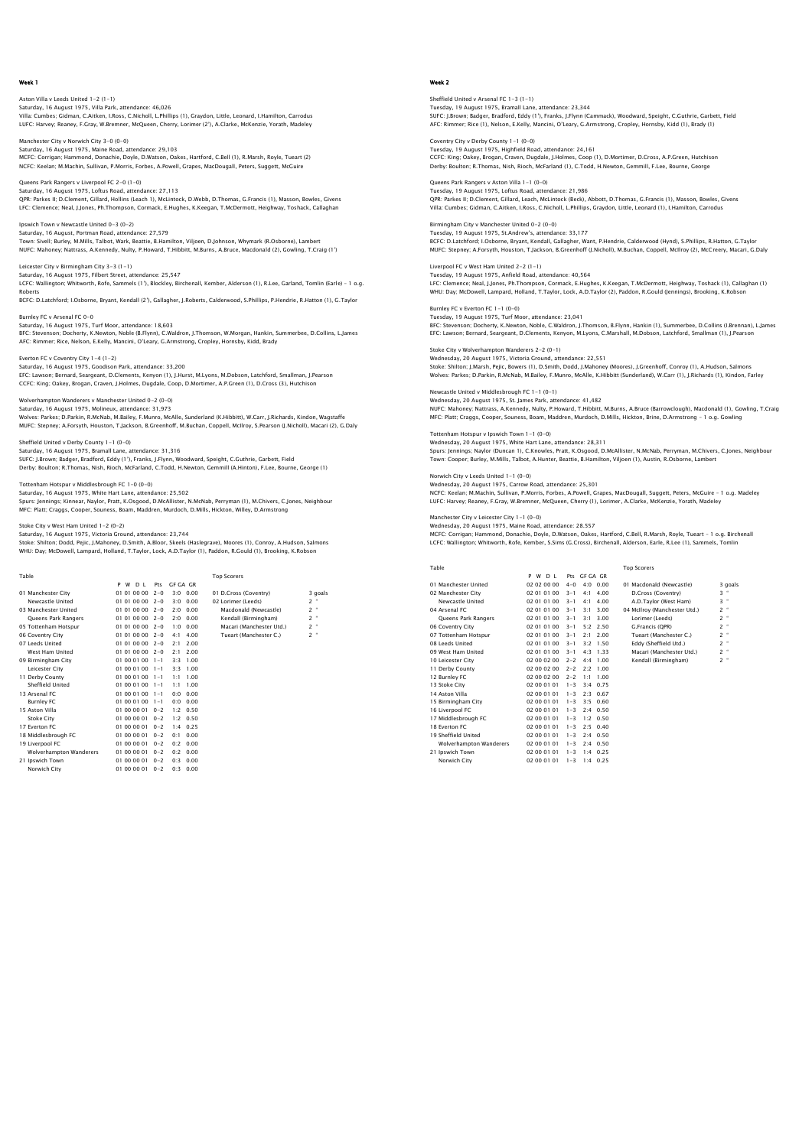Aston Villa v Leeds United 1–2 (1–1)<br>Saturday, 16 August 1975, Villa Park, attendance: 46,026<br>Villa: Cumbes; Gidman, C.Aitken, I.Ross, C.Nicholl, L.Phillips (1), Graydon, Little, Leonard, I.Hamilton, Carrodus LUFC: Harvey; Reaney, F.Gray, W.Bremner, McQueen, Cherry, Lorimer (2'), A.Clarke, McKenzie, Yorath, Madeley

Manchester City v Norwich City 3–0 (0–0)<br>Saturday, 16 August 1975, Maine Road, attendance: 29,103<br>MCFC: Corrigan; Hammond, Donachie, Doyle, D.Watson, Oakes, Hartford, C.Bell (1), R.Marsh, Royle, Tueart (2) NCFC: Keelan; M.Machin, Sullivan, P.Morris, Forbes, A.Powell, Grapes, MacDougall, Peters, Suggett, McGuire

Queens Park Rangers v Liverpool FC 2–0 (1–0)<br>Saturday, 16 August 1975, Loftus Road, attendance: 27,113<br>QPR: Parkes II; D.Clement, Gillard, Hollins (Leach 1), McLintock, D.Webb, D.Thomas, G.Francis (1), Masson, Bowles, Give LFC: Clemence; Neal, J.Jones, Ph.Thompson, Cormack, E.Hughes, K.Keegan, T.McDermott, Heighway, Toshack, Callaghan

.<br>Wich Town v Newcastle United 0-3 (0-2)<br>Urday, 16 August, Portman Road, attendance: 27,579 Saturday, 16 August, Portman Road, atte Town: Sivell; Burley, M.Mills, Talbot, Wark, Beattie, B.Hamilton, Viljoen, D.Johnson, Whymark (R.Osborne), Lambert NUFC: Mahoney; Nattrass, A.Kennedy, Nulty, P.Howard, T.Hibbitt, M.Burns, A.Bruce, Macdonald (2), Gowling, T.Craig (1')

Leicester City v Birmingham City 3-3 (1-1) Saturday, 16 August 1975, Filbert Street, attendance: 25,547 LCFC: Wallington; Whitworth, Rofe, Sammels (1'), Blockley, Birchenall, Kember, Alderson (1), R.Lee, Garland, Tomlin (Earle) – 1 o.g. Roberts

BCFC: D.Latchford; I.Osborne, Bryant, Kendall (2'), Gallagher, J.Roberts, Calderwood, S.Phillips, P.Hendrie, R.Hatton (1), G.Taylor Burnley FC v Arsenal FC 0-0

# Saturday, 16 August 1975, Turf Moor, attendance: 18,603

BFC: Stevenson; Docherty, K.Newton, Noble (B.Flynn), C.Waldron, J.Thomson, W.Morgan, Hankin, Summerbee, D.Collins, L.James AFC: Rimmer; Rice, Nelson, E.Kelly, Mancini, O'Leary, G.Armstrong, Cropley, Hornsby, Kidd, Brady

Everton FC v Coventry City 1-4 (1-2) Saturday, 16 August 1975, Goodison Park, attendance: 33,200

EFC: Lawson; Bernard, Seargeant, D.Clements, Kenyon (1), J.Hurst, M.Lyons, M.Dobson, Latchford, Smallman, J.Pearson CCFC: King; Oakey, Brogan, Craven, J.Holmes, Dugdale, Coop, D.Mortimer, A.P.Green (1), D.Cross (3), Hutchison

Wolverhampton Wanderers v Manchester United 0–2 (0–0)<br>Saturday, 16 August 1975, Molineux, attendance: 31,973<br>Wolves: Parkes; D.Parkin, R.McNab, M.Bailey, F.Munro, McAlle, Sunderland (K.Hibbitt), W.Carr, J.Richards, Kindon,

Sheffield United v Derby County 1-1 (0-0) Saturday, 16 August 1975, Bramall Lane, attendance: 31,316<br>SUFC: J.Brown; Badger, Bradford, Eddy (1'), Franks, J.Flynn, Woodward, Speight, C.Guthrie, Garbett, Field<br>Derby: Boulton: R.Thomas, Nish, Rioch, McFarland, C.Todd,

### Tottenham Hotspur v Middlesbrough FC 1-0 (0-0)

Saturday, 16 August 1975, White Hart Lane, attendance: 25,502<br>Spurs: Jennings; Kinnear, Naylor, Pratt, K.Osgood, D.McAllister, N.McNab, Perryman (1), M.Chivers, C.Jones, Neighbour<br>MFC: Platt; Craqqs, Cooper, Souness, Boam,

#### Stoke City v West Ham United 1-2 (0-2)

Saturday, 16 August 1975, Victoria Ground, attendance: 23,744 Stoke: Shilton; Dodd, Pejic, J.Mahoney, D.Smith, A.Bloor, Skeels (Haslegrave), Moores (1), Conroy, A.Hudson, Salmons<br>WHU: Day: McDowell, Lampard, Holland, T.Taylor, Lock, A.D.Taylor (1), Paddon, R.Gould (1), Brookinq, K.Ro

| Table                          |                          |         |                  | <b>Top Scorers</b>       |                     |
|--------------------------------|--------------------------|---------|------------------|--------------------------|---------------------|
|                                | w<br>D <sub>1</sub><br>P | Pts     | GE GA GR         |                          |                     |
| 01 Manchester City             | 01 01 00 00              | $2 - 0$ | $3.0 \quad 0.00$ | 01 D.Cross (Coventry)    | 3 goals             |
| Newcastle United               | 01 01 00 00              | $2 - 0$ | 0.00<br>3:0      | 02 Lorimer (Leeds)       | $2$ "               |
| 03 Manchester United           | 01 01 00 00 2-0          |         | 0.00<br>2:0      | Macdonald (Newcastle)    | ×<br>$\overline{2}$ |
| Queens Park Rangers            | 01 01 00 00 2-0          |         | 2:0<br>0.00      | Kendall (Birmingham)     | $2$ "               |
| 05 Tottenham Hotspur           | 01 01 00 00 2-0          |         | 0.00<br>1:0      | Macari (Manchester Utd.) | $2$ "               |
| 06 Coventry City               | $010100002 - 0$          |         | 4.00<br>4:1      | Tueart (Manchester C.)   | $2 -$               |
| 07 Leeds United                | $010100002 - 0$          |         | 2.00<br>2:1      |                          |                     |
| West Ham United                | $010100002 - 0$          |         | 2.00<br>2.1      |                          |                     |
| 09 Birmingham City             | 01 00 01 00              | $1 - 1$ | 3:3<br>1.00      |                          |                     |
| Leicester City                 | 01 00 01 00              | $1 - 1$ | 3:3<br>1.00      |                          |                     |
| 11 Derby County                | 01 00 01 00              | $1 - 1$ | 1.00<br>1:1      |                          |                     |
| Sheffield United               | 01 00 01 00              | $1 - 1$ | 1.00<br>1:1      |                          |                     |
| 13 Arsenal FC                  | 01 00 01 00              | $1 - 1$ | 0.00<br>0.0      |                          |                     |
| <b>Burnley FC</b>              | 01 00 01 00              | $1 - 1$ | 0:0<br>0.00      |                          |                     |
| 15 Aston Villa                 | 01 00 00 01              | $0 - 2$ | 1.2<br>0.50      |                          |                     |
| <b>Stoke City</b>              | 01 00 00 01              | $0 - 2$ | 1:2<br>0.50      |                          |                     |
| 17 Everton EC                  | 01 00 00 01              | $0 - 2$ | 0.25<br>1.4      |                          |                     |
| 18 Middlesbrough FC            | 01 00 00 01              | $0 - 2$ | 0:1<br>0.00      |                          |                     |
| 19 Liverpool FC                | 01 00 00 01              | $0 - 2$ | 0.2<br>0.00      |                          |                     |
| <b>Wolverhampton Wanderers</b> | 01 00 00 01              | $0 - 2$ | 0:2<br>0.00      |                          |                     |
| 21 Ipswich Town                | 01 00 00 01              | $0 - 2$ | 0.3<br>0.00      |                          |                     |
| Norwich City                   | 01 00 00 01              | $0 - 2$ | 0.3<br>0.00      |                          |                     |

## Week 2

Sheffield United v Arsenal FC 1–3 (1–1)<br>Tuesday, 19 August 1975, Bramall Lane, attendance: 23,344<br>SUFC: J.Brown; Badqer, Bradford, Eddy (1'), Franks, J.Flynn (Cammack), Woodward, Speight, C.Guthrie, Garbett, Field AFC: Rimmer; Rice (1), Nelson, E.Kelly, Mancini, O'Leary, G.Armstrong, Cropley, Hornsby, Kidd (1), Brady (1)

Coventry City v Derby County 1–1 (0–0)<br>Tuesday, 19 August 1975, Highfield Road, attendance: 24,161<br>CCFC: King; Oakey, Brogan, Craven, Dugdale, J.Holmes, Coop (1), D.Mortimer, D.Cross, A.P.Green, Hutchison Derby: Boulton; R.Thomas, Nish, Rioch, McFarland (1), C.Todd, H.Newton, Gemmill, F.Lee, Bourne, George

Queens Park Rangers v Aston Villa 1-1 (0-0) Tuesday, 19 August 1975, Loftus Road, attendance: 21,986 QPR: Parkes II; D.Clement, Gillard, Leach, McLintock (Beck), Abbott, D.Thomas, G.Francis (1), Masson, Bowles, Givens Villa: Cumbes; Gidman, C.Aitken, I.Ross, C.Nicholl, L.Phillips, Graydon, Little, Leonard (1), I.Hamilton, Carrodus

Birmingham City v Manchester United 0-2 (0-0)<br>Tuesdav: 19 August 1975, St.Andrew's, attendance: 33.177 Shimingham City V Manchester United U. 2 (Contractor 1975, St.Andrew's, atte BCFC: D.Latchford; I.Osborne, Bryant, Kendall, Gallagher, Want, P.Hendrie, Calderwood (Hynd), S.Phillips, R.Hatton, G.Taylor<br>MUFC: Stepney; A.Forsyth, Houston, T.Jackson, B.Greenhoff (J.Nicholl), M.Buchan, Coppell, McIlroy

Liverpool FC v West Ham United 2-2 (1-1) Tuesday, 19 August 1975, Anfield Road, attendance: 40,564 LFC: Clemence; Neal, J.Jones, Ph.Thompson, Cormack, E.Hughes, K.Keegan, T.McDermott, Heighway, Toshack (1), Callaghan (1) WHU: Day; McDowell, Lampard, Holland, T.Taylor, Lock, A.D.Taylor (2), Paddon, R.Gould (Jennings), Brooking, K.Robson

Barney TC V Everton TC T-1 (0-0)<br>Tuesday, 19 August 1975, Turf Moor, attendance: 23,041<br>BFC: Stevenson; Docherty, K.Newton, Noble, C.Waldron, J.1 BFC: Stevenson; Docherty, K.Newton, Noble, C.Waldron, J.Thomson, B.Flynn, Hankin (1), Summerbee, D.Collins (I.Brennan), L.James EFC: Lawson; Bernard, Seargeant, D.Clements, Kenyon, M.Lyons, C.Marshall, M.Dobson, Latchford, Smallman (1), J.Pearson Stoke City v Wolverhampton Wanderers 2-2 (0-1)

Wednesday, 20 August 1975, Victoria Ground, attendance: 22,551<br>Stoke: Shilton; J.Marsh, Pejic, Bowers (1), D.Smith, Dodd, J.Mahoney (Moores), J.Greenhoff, Conroy (1), A.Hudson, Salmons<br>Wolves: Parkes; D.Parkin, R.McNab, M.

Wednesday, 20 August 1975, St. James Park, attendance: 41,482 NUFC: Mahoney; Nattrass, A.Kennedy, Nulty, P.Howard, T.Hibbitt, M.Burns, A.Bruce (Barrowclough), Macdonald (1), Gowling, T.Craig MFC: Platt; Craggs, Cooper, Souness, Boam, Maddren, Murdoch, D.Mills, Hickton, Brine, D.Armstrong – 1 o.g. Gowling

# Tottenham Hotspur v Ipswich Town 1-1 (0-0) Wednesday, 20 August 1975, White Hart Lane, attendance: 28,311 Spurs: Jennings; Naylor (Duncan 1), C.Knowles, Pratt, K.Osgood, D.McAllister, N.McNab, Perryman, M.Chivers, C.Jones, Neighboui<br>Town: Cooper; Burley, M.Mills, Talbot, A.Hunter, Beattie, B.Hamilton, Viljoen (1), Austin, R.Os

Wednesday, 20 August 1975, Carrow Road, attendance: 25,301<br>NCFC: Keelan; M.Machin, Sullivan, P.Morris, Forbes, A.Powell, Grapes, MacDougall, Suggett, Peters, McGuire – 1 o.g. Madeley<br>LUFC: Harvey; Reaney, F.Gray, W.Bremner

#### Manchester City v Leicester City 1-1 (0-0) Wednesday, 20 August 1975, Maine Road, attendance: 28.557

Burnley FC v Everton FC 1-1 (0-0)

Newcastle United v Middlesbrough FC 1-1 (0-1)

Norwich City v Leeds United 1-1 (0-0)

MCFC: Corrigan; Hammond, Donachie, Doyle, D.Watson, Oakes, Hartford, C.Bell, R.Marsh, Royle, Tueart – 1 o.g. Birchenall LCFC: Wallington; Whitworth, Rofe, Kember, S.Sims (G.Cross), Birchenall, Alderson, Earle, R.Lee (1), Sammels, Tomlin

| Table                          |                       |         |              |                  | <b>Top Scorers</b>           |         |
|--------------------------------|-----------------------|---------|--------------|------------------|------------------------------|---------|
|                                | P W<br>D <sub>1</sub> |         | Pts GF GA GR |                  |                              |         |
| 01 Manchester United           | 02 02 00 00           | $4 - 0$ | 4:0          | 0.00             | 01 Macdonald (Newcastle)     | 3 goals |
| 02 Manchester City             | 02 01 01 00           | $3 - 1$ | 4:1          | 4.00             | D.Cross (Coventry)           | $3$ "   |
| Newcastle United               | 02 01 01 00           | $3 - 1$ | 4:1          | 4.00             | A.D.Taylor (West Ham)        | $3$ "   |
| 04 Arsenal FC                  | 02 01 01 00           | $3 - 1$ | 3:1          | 3.00             | 04 McIlrov (Manchester Utd.) | $2$ "   |
| <b>Oueens Park Rangers</b>     | 02 01 01 00           | $3 - 1$ | 3:1          | 3.00             | Lorimer (Leeds)              | $2$ "   |
| 06 Coventry City               | 02 01 01 00           | $3 - 1$ | 5:2          | 2.50             | G.Francis (OPR)              | $2$ "   |
| 07 Tottenham Hotspur           | 02 01 01 00           | $3 - 1$ | 2.1          | 2.00             | Tueart (Manchester C.)       | $2 -$   |
| 08 Leeds United                | 02 01 01 00           | $3 - 1$ | 3:2          | 1.50             | Eddy (Sheffield Utd.)        | $2$ "   |
| 09 West Ham United             | 02 01 01 00           | $3 - 1$ | 4.3          | 1.33             | Macari (Manchester Utd.)     | $2$ "   |
| 10 Leicester City              | 02 00 02 00           | $2 - 2$ | 4.4          | 1.00             | Kendall (Birmingham)         | $2$ "   |
| 11 Derby County                | 02 00 02 00           | $2 - 2$ | 2:2          | 1.00             |                              |         |
| 12 Burnley FC                  | 02 00 02 00           | $2 - 2$ | 1:1          | 1.00             |                              |         |
| 13 Stoke City                  | 02 00 01 01           | $1 - 3$ | 3.4          | 0.75             |                              |         |
| 14 Aston Villa                 | 02 00 01 01           | $1 - 3$ | 2.3          | 0.67             |                              |         |
| 15 Birmingham City             | 02 00 01 01           | $1 - 3$ | 3.5          | 0.60             |                              |         |
| 16 Liverpool FC                | 02 00 01 01           | $1 - 3$ |              | $2:4$ 0.50       |                              |         |
| 17 Middlesbrough FC            | 02 00 01 01           | $1 - 3$ |              | $1.2 \quad 0.50$ |                              |         |
| 18 Everton EC                  | 02 00 01 01           | $1 - 3$ |              | $2:5$ 0.40       |                              |         |
| 19 Sheffield United            | 02 00 01 01           | $1 - 3$ | 2.4          | 0.50             |                              |         |
| <b>Wolverhampton Wanderers</b> | 02 00 01 01           | $1 - 3$ |              | $2.4$ 0.50       |                              |         |
| 21 Ipswich Town                | 02 00 01 01           | $1 - 3$ | 1.4          | 0.25             |                              |         |
| Norwich City                   | 02 00 01 01           | $1 - 3$ | 1:4          | 0.25             |                              |         |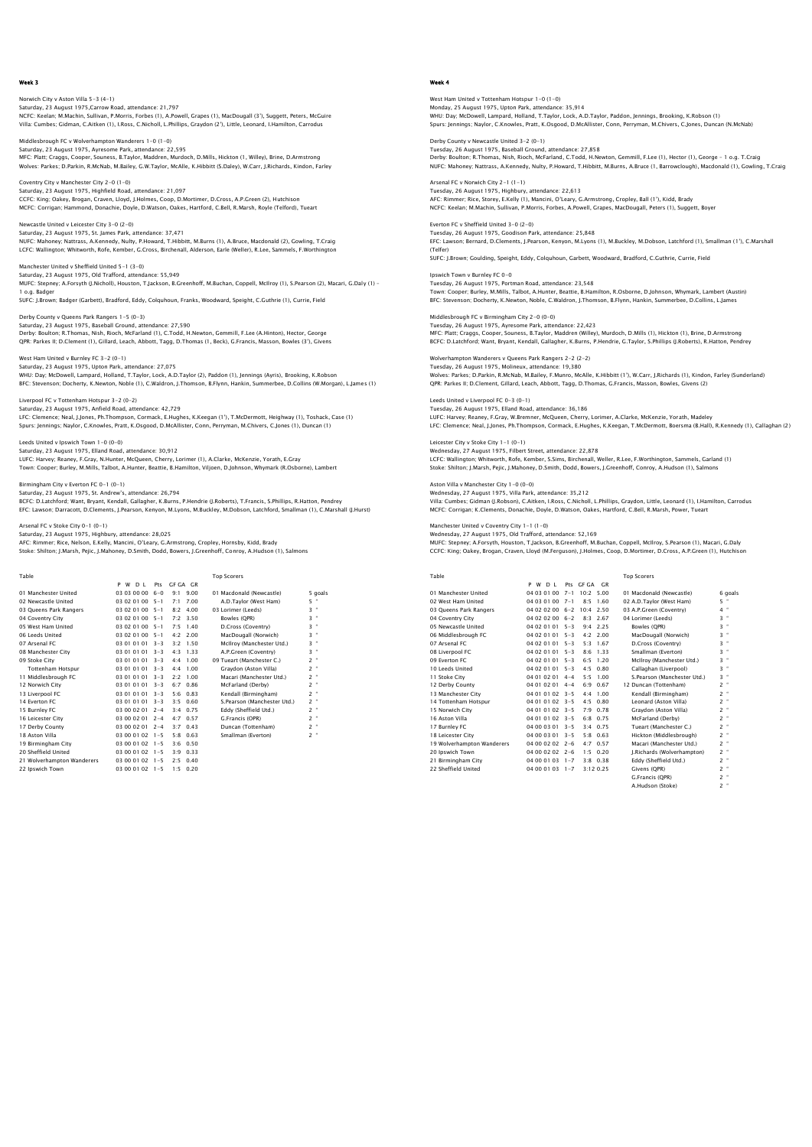Norwich City v Aston Villa 5-3 (4-1) Saturday, 23 August 1975,Carrow Road, attendance: 21,797 NCFC: Keelan; M.Machin, Sullivan, P.Morris, Forbes (1), A.Powell, Grapes (1), MacDougall (3'), Suggett, Peters, McGuire Villa: Cumbes; Gidman, C.Aitken (1), I.Ross, C.Nicholl, L.Phillips, Graydon (2'), Little, Leonard, I.Hamilton, Carrodus

Middlesbrough FC v Wolverhampton Wanderers 1-0 (1-0) Saturday, 23 August 1975, Ayresome Park, attendance: 22,595 MFC: Platt; Craggs, Cooper, Souness, B.Taylor, Maddren, Murdoch, D.Mills, Hickton (1, Willey), Brine, D.Armstrong Wolves: Parkes; D.Parkin, R.McNab, M.Bailey, G.W.Taylor, McAlle, K.Hibbitt (S.Daley), W.Carr, J.Richards, Kindon, Farley

Coventry City v Manchester City 2-0 (1-0) Saturday, 23 August 1975, Highfield Road, attendance: 21,097 CCFC: King; Oakey, Brogan, Craven, Lloyd, J.Holmes, Coop, D.Mortimer, D.Cross, A.P.Green (2), Hutchison MCFC: Corrigan; Hammond, Donachie, Doyle, D.Watson, Oakes, Hartford, C.Bell, R.Marsh, Royle (Telford), Tueart

Newcastle United v Leicester City 3-0 (2-0) Saturday, 23 August 1975, St. James Park, attendance: 37,471 NUFC: Mahoney; Nattrass, A.Kennedy, Nulty, P.Howard, T.Hibbitt, M.Burns (1), A.Bruce, Macdonald (2), Gowling, T.Craig LCFC: Wallington; Whitworth, Rofe, Kember, G.Cross, Birchenall, Alderson, Earle (Weller), R.Lee, Sammels, F.Worthington

Manchester United v Sheffield United 5-1 (3-0) Saturday, 23 August 1975, Old Trafford, attendance: 55,949<br>MUFC: Stepney; A.Forsyth (J.Nicholl), Houston, T.Jackson, B.Greenhoff, M.Buchan, Coppell, McIlroy (1), S.Pearson (2), Macari, G.Daly (1) -

1 o.g. Badger SUFC: J.Brown; Badger (Garbett), Bradford, Eddy, Colquhoun, Franks, Woodward, Speight, C.Guthrie (1), Currie, Field

# Derby County v Queens Park Rangers 1-5 (0-3) Saturday, 23 August 1975, Baseball Ground, attendance: 27,590

Derby: Boulton; R.Thomas, Nish, Rioch, McFarland (1), C.Todd, H.Newton, Gemmill, F.Lee (A.Hinton), Hector, George QPR: Parkes II; D.Clement (1), Gillard, Leach, Abbott, Tagg, D.Thomas (1, Beck), G.Francis, Masson, Bowles (3'), Givens

# West Ham United v Burnley FC 3-2 (0-1)

Saturday, 23 August 1975, Upton Park, attendance: 27,075 WHU: Day; McDowell, Lampard, Holland, T.Taylor, Lock, A.D.Taylor (2), Paddon (1), Jennings (Ayris), Brooking, K.Robson<br>BFC: Stevenson; Docherty, K.Newton, Noble (1), C.Waldron, J.Thomson, B.Flynn, Hankin, Summerbee, D.Coll

Liverpool FC v Tottenham Hotspur 3-2 (0-2) Saturday, 23 August 1975, Anfield Road, attendance: 42,729

LFC: Clemence; Neal, J.Jones, Ph.Thompson, Cormack, E.Hughes, K.Keegan (1'), T.McDermott, Heighway (1), Toshack, Case (1)<br>Spurs: Jennings; Naylor, C.Knowles, Pratt, K.Osgood, D.McAllister, Conn, Perryman, M.Chivers, C.Jone

Leeds United v Ipswich Town 1-0 (0-0) Saturday, 23 August 1975, Elland Road, attendance: 30,912<br>LUFC: Harvey, Reaney, F.Gray, N.Hunter, McQueen, Cherry, Lorimer (1), A.Clarke, McKenzie, Yorath, E.Gray<br>Town: Cooper; Burley, M.Mills, Talbot, A.Hunter, Beattie, B

Birmingham City v Everton FC 0-1 (0-1)

Saturday, 23 August 1975, St. Andrew's, attendance: 26,794<br>BCFC: D.Latchford; Want, Bryant, Kendall, Gallagher, K.Burns, P.Hendrie (J.Roberts), T.Francis, S.Phillips, R.Hatton, Pendrey<br>EFC: Lawson; Darracott, D.Clements, J

### Arsenal FC v Stoke City 0-1 (0-1)

Saturday, 23 August 1975, Highbury, attendance: 28,025<br>AFC: Rimmer; Rice, Nelson, E.Kelly, Mancini, O'Leary, G.Armstrong, Cropley, Hornsby, Kidd, Brady<br>Stoke: Shilton: J.Marsh, Peiic. J.Mahoney, D.Smith, Dodd, Bowers, J.Gr

Table<br>10 Manchester United PM D L Pts GFGA GR<br>10 Manchester United 03030000 6-0 9:1 9.00 01 Macdonald (Newcastle) 5 goals<br>10 Manchester United 03020100 5-1 7:1 7.00 03.Lorimer (Leeds) 5 °<br>10 Manchester 20020100 5-1 8:2 4. 04 Coventry City (1990 1990 1991 7:2 3.50 Bowles (QPR) 3:3<br>19 OS West Ham United (1990 2010 05-1 7:5 1.40 D.Cross (Coventry) 3:1<br>19 OS Leeds United (1990 2010 05-1 4:2 2.00 MacDougall (Norwich) 3:1<br>19 Manchester City (1990 " 9 (1010 1 3-3 4:4 1.00 09 Tueart (Manchester C.) (19 10:4 11)<br>11 Middlesbrough FC 10 10:00 10:01 10:01 10:01 10:01 10:02 1<br>11 Middlesbrough FC 10:00 10:01 10:31 2:02 11:01 10:01 10:01 10:01 12:01<br>12 Norwich City 10:00 10 13 Liverpool FC 03 01 01 01 3-3 5:6 0.83 Kendall (Birmingham) 2<br>14 Everton FC 03 01 01 01 3-3 3:5 0.60 S Pearson (Manchester Utd.) 2 14 Everton FC 03 01 01 01 3-3 3:5 0.60 S.Pearson (Manchester Utd.) 2<br>
15 Burnley FC 03 01 01 01 3-3 3:5 0.60 S.Pearson (Manchester Utd.) 2<br>
16 Leicester City 03 00 02 01 2-4 4:7 0.57 Eddy (Sheffield Utd.) 2<br>
17 Derby Count 15 Burnley FC 03 00 02 01 2-4 3:4 0.75 Eddy (Sheffield Utd.) 2 " 16 Leicester City 03 00 02 01 2-4 4:7 0.57 G.Francis (OPR) 2 " 17 Derby County 03 00 02 01 2-4 3:7 0.43 Duncan (Tottenham) 2 " 16 Lettester City (1992 010 02 10 12 13 13 14 14:7 0.43 Duncan (Tottenham) 2 "<br>17 Derby County (1992 03:00 02:01 2-4 3:7 0.43 Duncan (Tottenham) 2 "<br>18 Aston Villa (1992 03:00 01:02 1-5 -3:5 0.50 Smallman (Everton) 2 "<br>19 19 Birmingham City 03 00 01 02 1-5 3:6 0.50<br>20 Sheffield United 03 00 01 02 1-5 3:9 0.33<br>21 Wolverhampton Wanderers 03 00 01 02 1-5 2:5 0.40<br>22 Ipswich Town 03 00 01 02 1-5 1:5 0.7 20 Sheffield United 03 00 01 02 1-5 3:9 0.33 21 Wolverhampton Wanderers 03 00 01 02 1-5 2:5 0.40 22 Ipswich Town 03 00 01 02 1-5 1:5 0.20

Villa: Cumbes; Gidman (J.Robson), C.Aitken, I.Ross, C.Nicholl, L.Phillips, Graydon, Little, Leonard (1), I.Hamilton, Carrodus<br>MCFC: Corrigan; K.Clements, Donachie, Doyle, D.Watson, Oakes, Hartford, C.Bell, R.Marsh, Power,

MUFC: Stepney; A.Forsyth, Houston, T.Jackson, B.Greenhoff, M.Buchan, Coppell, McIlroy, S.Pearson (1), Macari, G.Daly<br>CCFC: King; Oakey, Brogan, Craven, Lloyd (M.Ferquson), J.Holmes, Coop, D.Mortimer, D.Cross, A.P.Green (1)

| Table                      |                          |         |                        | <b>Top Scorers</b>          |         |
|----------------------------|--------------------------|---------|------------------------|-----------------------------|---------|
|                            | P<br>w<br>D <sub>1</sub> |         | Pts GF GA<br><b>GR</b> |                             |         |
| 01 Manchester United       | 04 03 01 00              | $7 - 1$ | 10:2<br>5.00           | 01 Macdonald (Newcastle)    | 6 goals |
| 02 West Ham United         | 04 03 01 00              | $7 - 1$ | 8.5<br>1.60            | 02 A.D.Tavlor (West Ham)    | 5 "     |
| 03 Queens Park Rangers     | 04 02 02 00              | $6 - 2$ | 10:4<br>2.50           | 03 A.P.Green (Coventry)     | $4$ "   |
| 04 Coventry City           | $040202006 - 5$          |         | 8.3<br>2.67            | 04 Lorimer (Leeds)          | $3$ "   |
| 05 Newcastle United        | 04 02 01 01              | $5 - 3$ | 9.4<br>2.25            | Bowles (OPR)                | 3 "     |
| 06 Middlesbrough FC        | 04 02 01 01              | $5 - 3$ | $4:2$ 2.00             | MacDougall (Norwich)        | $3$ "   |
| 07 Arsenal FC              | 04 02 01 01              | $5 - 3$ | 1.67<br>5:3            | D.Cross (Coventry)          | $3$ "   |
| 08 Liverpool FC            | 04 02 01 01              | $5 - 3$ | 8.6<br>1.33            | Smallman (Everton)          | $3$ "   |
| 09 Everton EC              | 04 02 01 01              | $5 - 3$ | 1.20<br>6.5            | McIlroy (Manchester Utd.)   | $3$ "   |
| 10 Leeds United            | 04 02 01 01              | $5 - 3$ | 4:5<br>0.80            | Callaghan (Liverpool)       | $3$ "   |
| 11 Stoke City              | 04 01 02 01              | $4 - 4$ | 5.5<br>1.00            | S.Pearson (Manchester Utd.) | 3 "     |
| 12 Derby County            | 04 01 02 01              | $4 - 4$ | 6:9<br>0.67            | 12 Duncan (Tottenham)       | $2$ "   |
| 13 Manchester City         | 04 01 01 02              | $3 - 5$ | 1.00<br>4.4            | Kendall (Birmingham)        | $2 -$   |
| 14 Tottenham Hotspur       | 04 01 01 02              | $3 - 5$ | 4:5<br>0.80            | Leonard (Aston Villa)       | $2$ "   |
| 15 Norwich City            | 04 01 01 02              | $3 - 5$ | 0.78<br>7:9            | Graydon (Aston Villa)       | $2 -$   |
| 16 Aston Villa             | 04 01 01 02              | $3 - 5$ | 6:8<br>0.75            | McFarland (Derby)           | $2 -$   |
| 17 Burnley FC              | 04 00 03 01              | $3 - 5$ | 3.4<br>0.75            | Tueart (Manchester C.)      | $2$ "   |
| 18 Leicester City          | 04 00 03 01              | $3 - 5$ | 5.8<br>0.63            | Hickton (Middlesbrough)     | $2 -$   |
| 19 Wolverhampton Wanderers | 04 00 02 02              | $2 - 6$ | 4.7<br>0.57            | Macari (Manchester Utd.)    | $2$ "   |
| 20 Ipswich Town            | 04 00 02 02              | $2 - 6$ | 1:5<br>0.20            | J.Richards (Wolverhampton)  | $2$ "   |
| 21 Birmingham City         | 04 00 01 03              | $1 - 7$ | 0.38<br>3.8            | Eddy (Sheffield Utd.)       | $2$ "   |
| 22 Sheffield United        | 04 00 01 03 1-7          |         | 3:12 0.25              | Givens (OPR)                | $2 -$   |

G.Francis (QPR) 2 "<br>A.Hudson (Stoke) 2 " A.Hudson (Stoke)

Week 4

# West Ham United v Tottenham Hotspur 1–0 (1–0)<br>Monday, 25 August 1975, Upton Park, attendance: 35,914<br>WHU: Day; McDowell, Lampard, Holland, T.Taylor, Lock, A.D.Taylor, Paddon, Jennings, Brooking, K.Robson (1) Spurs: Jennings; Naylor, C.Knowles, Pratt, K.Osgood, D.McAllister, Conn, Perryman, M.Chivers, C.Jones, Duncan (N.McNab)

Derby County v Newcastle United 3-2 (0-1) Tuesday, 26 August 1975, Baseball Ground, attendance: 27,858<br>Derby: Boulton; R.Thomas, Nish, Rioch, McFarland, C.Todd, H.Newton, Gemmill, F.Lee (1), Hector (1), George – 1 o.g. T.Craic NUFC: Mahoney; Nattrass, A.Kennedy, Nulty, P.Howard, T.Hibbitt, M.Burns, A.Bruce (1, Barrowclough), Macdonald (1), Gowling, T.Craig

Arsenal FC v Norwich City 2-1 (1-1) enal FC v Norwich City 2 - ۱ (۱۰۰۰)<br>Sday, 26 August 1975, Highbury, attendance: 22,613 AFC: Rimmer; Rice, Storey, E.Kelly (1), Mancini, O'Leary, G.Armstrong, Cropley, Ball (1'), Kidd, Brady NCFC: Keelan; M.Machin, Sullivan, P.Morris, Forbes, A.Powell, Grapes, MacDougall, Peters (1), Suggett, Boyer

Everton FC v Sheffield United 3-0 (2-0) Tuesday, 26 August 1975, Goodison Park, attendance: 25,848 EFC: Lawson; Bernard, D.Clements, J.Pearson, Kenyon, M.Lyons (1), M.Buckley, M.Dobson, Latchford (1), Smallman (1'), C.Marshall (Telfer) SUFC: J.Brown; Goulding, Speight, Eddy, Colquhoun, Garbett, Woodward, Bradford, C.Guthrie, Currie, Field

Ipswich Town v Burnley FC 0-0 Tuesday, 26 August 1975, Portman Road, attendance: 23,548 Town: Cooper; Burley, M.Mills, Talbot, A.Hunter, Beattie, B.Hamilton, R.Osborne, D.Johnson, Whymark, Lambert (Austin) BFC: Stevenson; Docherty, K.Newton, Noble, C.Waldron, J.Thomson, B.Flynn, Hankin, Summerbee, D.Collins, L.James

Middlesbrough FC v Birmingham City 2-0 (0-0) Tuesday, 26 August 1975, Ayresome Park, attendance: 22,423 MFC: Platt; Craggs, Cooper, Souness, B.Taylor, Maddren (Willey), Murdoch, D.Mills (1), Hickton (1), Brine, D.Armstrong BCFC: D.Latchford; Want, Bryant, Kendall, Gallagher, K.Burns, P.Hendrie, G.Taylor, S.Phillips (J.Roberts), R.Hatton, Pendrey

Wolverhampton Wanderers v Queens Park Rangers 2-2 (2-2) Tuesday, 26 August 1975, Molineux, attendance: 19,380 Wolves: Parkes; D.Parkin, R.McNab, M.Bailey, F.Munro, McAlle, K.Hibbitt (1'), W.Carr, J.Richards (1), Kindon, Farley (Sunderland) QPR: Parkes II; D.Clement, Gillard, Leach, Abbott, Tagg, D.Thomas, G.Francis, Masson, Bowles, Givens (2)

Leeds United v Liverpool FC 0-3 (0-1) Tuesday, 26 August 1975, Elland Road, attendance: 36,186

LUFC: Harvey; Reaney, F.Gray, W.Bremner, McQueen, Cherry, Lorimer, A.Clarke, McKenzie, Yorath, Madeley<br>LFC: Clemence: Neal, J.Jones, Ph.Thompson, Cormack, E.Huqhes, K.Keeqan, T.McDermott, Boersma (B.Hall), R.Kennedy (1), C

Leicester City v Stoke City 1-1 (0-1)

Wednesday, 27 August 1975, Filbert Street, attendance: 22,878<br>LCFC: Wallington; Whitworth, Rofe, Kember, S.Sims, Birchenall, Weller, R.Lee, F.Worthington, Sammels, Garland (1)<br>Stoke: Shilton; J.Marsh, Pejic, J.Mahoney, D.S

Aston Villa v Manchester City 1-0 (0-0)

Wednesday, 27 August 1975, Villa Park, attendance: 35,212

Manchester United v Coventry City 1-1 (1-0)

Wednesday, 27 August 1975, Old Trafford, attendance: 52,169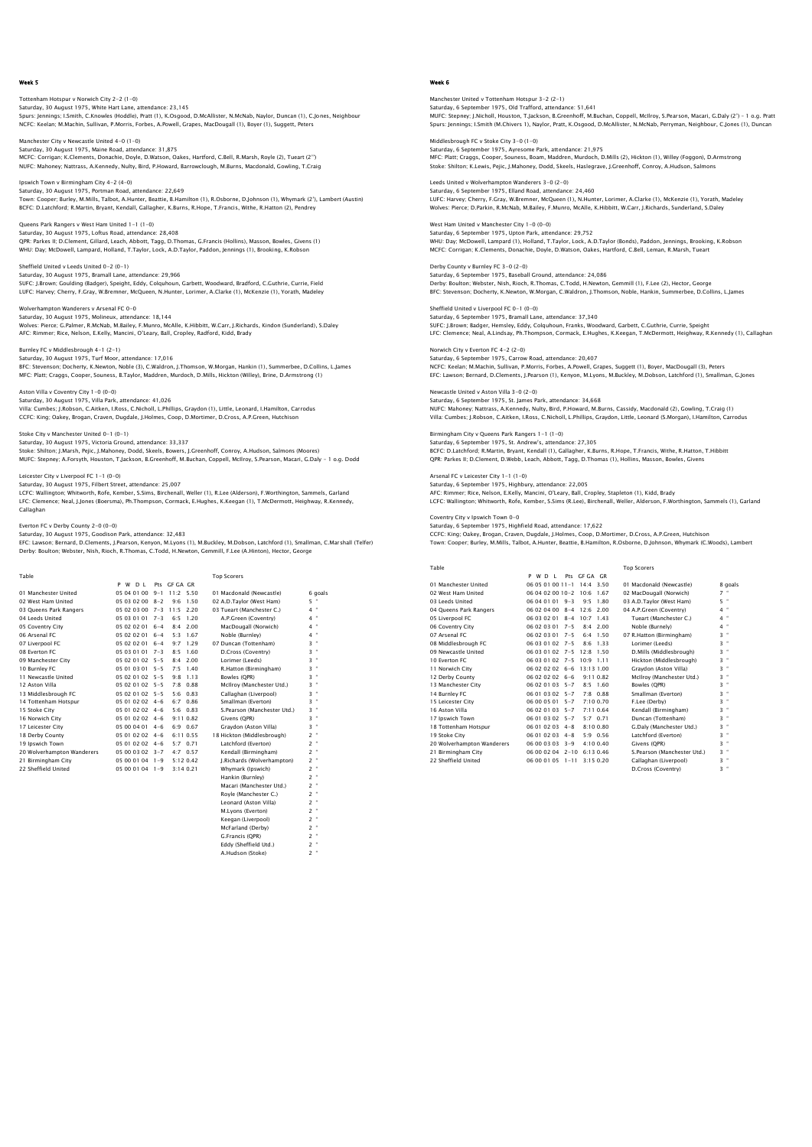Tottenham Hotspur v Norwich City 2–2 (1–0)<br>Saturday, 30 August 1975, White Hart Lane, attendance: 23,145<br>Spurs: Jennings: I.Smith, C.Knowles (Hoddle), Pratt (1), K.Osgood, D.McAllister, N.McNab, Naylor, Duncan (1), C.Jones NCFC: Keelan; M.Machin, Sullivan, P.Morris, Forbes, A.Powell, Grapes, MacDougall (1), Boyer (1), Suggett, Peters

Manchester City v Newcastle United 4-0 (1-0) Saturday, 30 August 1975, Maine Road, attendance: 31,875 MCFC: Corrigan; K.Clements, Donachie, Doyle, D.Watson, Oakes, Hartford, C.Bell, R.Marsh, Royle (2), Tueart (2'') NUFC: Mahoney; Nattrass, A.Kennedy, Nulty, Bird, P.Howard, Barrowclough, M.Burns, Macdonald, Gowling, T.Craig

Ipswich Town v Birmingham City 4-2 (4-0) Saturday, 30 August 1975, Portman Road, attendance: 22,649 Town: Cooper; Burley, M.Mills, Talbot, A.Hunter, Beattie, B.Hamilton (1), R.Osborne, D.Johnson (1), Whymark (2'), Lambert (Austin) BCFC: D.Latchford; R.Martin, Bryant, Kendall, Gallagher, K.Burns, R.Hope, T.Francis, Withe, R.Hatton (2), Pendrey

Queens Park Rangers v West Ham United 1-1 (1-0) Saturday, 30 August 1975, Loftus Road, attendance: 28,408 QPR: Parkes II; D.Clement, Gillard, Leach, Abbott, Tagg, D.Thomas, G.Francis (Hollins), Masson, Bowles, Givens (1) WHU: Day; McDowell, Lampard, Holland, T.Taylor, Lock, A.D.Taylor, Paddon, Jennings (1), Brooking, K.Robson

Sheffield United v Leeds United 0-2 (0-1) Saturday, 30 August 1975, Bramall Lane, attendance: 29,966 SUFC: J.Brown; Goulding (Badger), Speight, Eddy, Colquhoun, Garbett, Woodward, Bradford, C.Guthrie, Currie, Field LUFC: Harvey; Cherry, F.Gray, W.Bremner, McQueen, N.Hunter, Lorimer, A.Clarke (1), McKenzie (1), Yorath, Madeley

Wolverhampton Wanderers v Arsenal FC 0-0 Saturday, 30 August 1975, Molineux, attendance: 18,144 Wolves: Pierce; G.Palmer, R.McNab, M.Bailey, F.Munro, McAlle, K.Hibbitt, W.Carr, J.Richards, Kindon (Sunderland), S.Daley AFC: Rimmer; Rice, Nelson, E.Kelly, Mancini, O'Leary, Ball, Cropley, Radford, Kidd, Brady

Burnley FC v Middlesbrough 4–1 (2–1)<br>Saturday, 30 August 1975, Turf Moor, attendance: 17,016<br>BFC: Stevenson; Docherty, K.Newton, Noble (3), C.Waldron, J.Thomson, W.Morqan, Hankin (1), Summerbee, D.Collins, L.James

MFC: Platt; Craggs, Cooper, Souness, B.Taylor, Maddren, Murdoch, D.Mills, Hickton (Willey), Brine, D.Armstrong (1) Aston Villa v Coventry City 1-0 (0-0)

Saturday, 30 August 1975, Villa Park, attendance: 41,026<br>Villa: Cumbes; J.Robson, C.Aitken, I.Ross, C.Nicholl, L.Phillips, Graydon (1), Little, Leonard, I.Hamilton, Carrodus<br>CCFC: King: Oakey, Brogan, Craven, Dugdale, J.Ho

Stoke City v Manchester United 0-1 (0-1) Saturday, 30 August 1975, Victoria Ground, attendance: 33,337

Stoke: Shilton; J.Marsh, Pejic, J.Mahoney, Dodd, Skeels, Bowers, J.Greenhoff, Conroy, A.Hudson, Salmons (Moores)<br>MUFC: Stepney; A.Forsyth, Houston, T.Jackson, B.Greenhoff, M.Buchan, Coppell, McIlroy, S.Pearson, Macari, G.D

Leicester City v Liverpool FC 1-1 (0-0)

Saturday, 30 August 1975, Filbert Street, attendance: 25,007 LCFC: Wallington; Whitworth, Rofe, Kember, S.Sims, Birchenall, Weller (1), R.Lee (Alderson), F.Worthington, Sammels, Garland LFC: Clemence; Neal, J.Jones (Boersma), Ph.Thompson, Cormack, E.Hughes, K.Keegan (1), T.McDermott, Heighway, R.Kennedy, Callaghan

# Everton FC v Derby County 2-0 (0-0)

Saturday, 30 August 1975, Goodison Park, attendance: 32,483<br>EFC: Lawson; Bernard, D.Clements, J.Pearson, Kenyon, M.Lyons (1), M.Buckley, M.Dobson, Latchford (1), Smallman, C.Marshall (Telfer)<br>Derby: Boulton; Webster, Nish,

G.Francis (QPR) 2 " Eddy (Sheffield Utd.) 2 " A.Hudson (Stoke) 2 "

| Table                      |                     |         |              | <b>Top Scorers</b>          |                     |
|----------------------------|---------------------|---------|--------------|-----------------------------|---------------------|
|                            | P W D I             |         | Pts GEGA GR  |                             |                     |
| 01 Manchester United       | 05 04 01 00         | $9 - 1$ | $11.2$ 5.50  | 01 Macdonald (Newcastle)    | 6 goals             |
| 02 West Ham United         | 05 03 02 00         | $8 - 2$ | 9.6<br>1.50  | 02 A.D.Tavlor (West Ham)    | 5 "                 |
| 03 Queens Park Rangers     | 05 02 03 00         | $7 - 3$ | 11:5<br>2.20 | 03 Tueart (Manchester C.)   | $4$ "               |
| 04 Leeds United            | 05.03.01.01         | $7 - 3$ | 6.5<br>1.20  | A.P.Green (Coventry)        | $4$ "               |
| 05 Coventry City           | 05 02 02 01         | $6 - 4$ | 2.00<br>8.4  | MacDougall (Norwich)        | 4 "                 |
| 06 Arsenal FC              | 05 02 02 01         | $6 - 4$ | 1.67<br>5.3  | Noble (Burnley)             | $4$ "               |
| 07 Liverpool FC            | 05 02 02 01         | $6 - 4$ | 9:7<br>1.29  | 07 Duncan (Tottenham)       | $3$ "               |
| 08 Everton EC              | 05 03 01 01         | $7 - 3$ | 8.5<br>1.60  | D.Cross (Coventry)          | $3 -$               |
| 09 Manchester City         | 05 02 01 02 5-5     |         | 8:4<br>2.00  | Lorimer (Leeds)             | ×<br>3              |
| 10 Burnley FC              | 05 01 03 01         | $5 - 5$ | 7:5<br>1.40  | R.Hatton (Birmingham)       | ×<br>3              |
| 11 Newcastle United        | $05.02.01.02.5 - 5$ |         | 9:8<br>1.13  | Bowles (OPR)                | $3 -$               |
| 12 Aston Villa             | $05.02.01.02.5 - 5$ |         | $7.8 \t0.88$ | McIlroy (Manchester Utd.)   | $3 -$               |
| 13 Middlesbrough FC        | 05 02 01 02 5-5     |         | 5:6<br>0.83  | Callaghan (Liverpool)       | $3 -$               |
| 14 Tottenham Hotspur       | $05.01.02.02$ 4-6   |         | $6:7$ 0.86   | Smallman (Everton)          | $3 -$               |
| 15 Stoke City              | 05 01 02 02 4-6     |         | 5:6 0.83     | S.Pearson (Manchester Utd.) | ×<br>3              |
| 16 Norwich City            | $05.01.02.02$ 4-6   |         | 9:11 0.82    | Givens (OPR)                | $3 -$               |
| 17 Leicester City          | 05 00 04 01 4-6     |         | 6:9 0.67     | Gravdon (Aston Villa)       | $3 -$               |
| 18 Derby County            | $05.01.02.02$ 4-6   |         | 6:11 0.55    | 18 Hickton (Middlesbrough)  | $2 -$               |
| 19 Ipswich Town            | 05 01 02 02 4-6     |         | $5:7$ 0.71   | Latchford (Everton)         | $2$ "               |
| 20 Wolverhampton Wanderers | 05 00 03 02 3-7     |         | $4.7$ 0.57   | Kendall (Birmingham)        | ×<br>$\overline{2}$ |
| 21 Birmingham City         | 05 00 01 04 1-9     |         | 5:120.42     | I.Richards (Wolverhampton)  | $2$ "               |
| 22 Sheffield United        | 05 00 01 04 1-9     |         | 3:140.21     | Whymark (Ipswich)           | $2$ "               |
|                            |                     |         |              | Hankin (Burnley)            | $2 -$               |
|                            |                     |         |              | Macari (Manchester Utd.)    | $2$ "               |
|                            |                     |         |              | Royle (Manchester C.)       | ٠<br>$\overline{2}$ |
|                            |                     |         |              | Leonard (Aston Villa)       | $2 -$               |
|                            |                     |         |              | M.Lyons (Everton)           | $2$ "               |
|                            |                     |         |              | Keegan (Liverpool)          | ×<br>$\overline{2}$ |
|                            |                     |         |              | McFarland (Derby)           | $2 -$               |

## Week 6

Manchester United v Tottenham Hotspur 3–2 (2–1)<br>Saturday, 6 September 1975, Old Trafford, attendance: 51,641<br>MUFC: Stepney: J.Nicholl, Houston, T.Jackson, B.Greenhoff, M.Buchan, Coppell, McIlroy, S.Pearson, Macari, G.Daly Spurs: Jennings; I.Smith (M.Chivers 1), Naylor, Pratt, K.Osgood, D.McAllister, N.McNab, Perryman, Neighbour, C.Jones (1), Duncan

Middlesbrough FC v Stoke City 3-0 (1–0)<br>Saturday, 6 September 1975, Ayresome Park, attendance: 21,975<br>MFC: Platt; Craqqs, Cooper, Souness, Boam, Maddren, Murdoch, D.Mills (2), Hickton (1), Willey (Foqqon), D.Armstrong Stoke: Shilton; K.Lewis, Pejic, J.Mahoney, Dodd, Skeels, Haslegrave, J.Greenhoff, Conroy, A.Hudson, Salmo

Leeds United v Wolverhampton Wanderers 3-0 (2-0) Sinted V Wolverhampton Wanderers 3-6 (2-6)<br>lay, 6 September 1975, Elland Road, attendance: 24,460 LUFC: Harvey; Cherry, F.Gray, W.Bremner, McQueen (1), N.Hunter, Lorimer, A.Clarke (1), McKenzie (1), Yorath, Madeley Wolves: Pierce; D.Parkin, R.McNab, M.Bailey, F.Munro, McAlle, K.Hibbitt, W.Carr, J.Richards, Sunderland, S.Daley

West Ham United v Manchester City 1-0 (0-0) Saturday, 6 September 1975, Upton Park, attendance: 29,752 WHU: Day; McDowell, Lampard (1), Holland, T.Taylor, Lock, A.D.Taylor (Bonds), Paddon, Jennings, Brooking, K.Robson<br>MCFC: Corrigan; K.Clements, Donachie, Doyle, D.Watson, Oakes, Hartford, C.Bell, Leman, R.Marsh, Tueart

Derby County v Burnley FC 3-0 (2-0) Saturday, 6 September 1975, Baseball Ground, attendance: 24,086 Derby: Boulton; Webster, Nish, Rioch, R.Thomas, C.Todd, H.Newton, Gemmill (1), F.Lee (2), Hector, George BFC: Stevenson; Docherty, K.Newton, W.Morgan, C.Waldron, J.Thomson, Noble, Hankin, Summerbee, D.Collins, L.James

Sheffield United v Liverpool FC 0-1 (0-0) Saturday, 6 September 1975, Bramall Lane, attendance: 37,340 SUFC: J.Brown; Badger, Hemsley, Eddy, Colquhoun, Franks, Woodward, Garbett, C.Guthrie, Currie, Speight LFC: Clemence; Neal, A.Lindsay, Ph.Thompson, Cormack, E.Hughes, K.Keegan, T.McDermott, Heighway, R.Kennedy (1), Callaghan Norwich City v Everton FC 4-2 (2-0)

Saturday, 6 September 1975, Carrow Road, attendance: 20,407 NCFC: Keelan; M.Machin, Sullivan, P.Morris, Forbes, A.Powell, Grapes, Suggett (1), Boyer, MacDougall (3), Peters EFC: Lawson; Bernard, D.Clements, J.Pearson (1), Kenyon, M.Lyons, M.Buckley, M.Dobson, Latchford (1), Smallman, G.Jones

Newcastle United v Aston Villa 3-0 (2-0) Saturday, 6 September 1975, St. James Park, attendance: 34,668 NUFC: Mahoney; Nattrass, A.Kennedy, Nulty, Bird, P.Howard, M.Burns, Cassidy, Macdonald (2), Gowling, T.Craig (1) Villa: Cumbes; J.Robson, C.Aitken, I.Ross, C.Nicholl, L.Phillips, Graydon, Little, Leonard (S.Morgan), I.Hamilton, Carrodus

Birmingham City v Queens Park Rangers 1-1 (1-0)<br>Saturday, 6 Sentember 1975, St. Andrew's lattendance: 27.305 Saturday, 6 September 1975, St. Andrew's, at BCFC: D.Latchford; R.Martin, Bryant, Kendall (1), Gallagher, K.Burns, R.Hope, T.Francis, Withe, R.Hatton, T.Hibbitt QPR: Parkes II; D.Clement, D.Webb, Leach, Abbott, Tagg, D.Thomas (1), Hollins, Masson, Bowles, Givens

Arsenal FC v Leicester City 1-1 (1-0) Saturday, 6 September 1975, Highbury, attendance: 22,005<br>AFC: Rimmer; Rice, Nelson, E.Kelly, Mancini, O'Leary, Ball, Cropley, Stapleton (1), Kidd, Brady<br>LCFC: Wallington; Whitworth, Rofe, Kember, S.Sims (R.Lee), Birchenall

Coventry City v Ipswich Town 0-0

Saturday, 6 September 1975, Highfield Road, attendance: 17,622<br>CCFC: King; Oakey, Brogan, Craven, Dugdale, J.Holmes, Coop, D.Mortimer, D.Cross, A.P.Green, Hutchison<br>Town: Cooper; Burley, M.Mills, Talbot, A.Hunter, Beattie,

| Table                      |                  |         |                  | <b>Top Scorers</b>          |         |
|----------------------------|------------------|---------|------------------|-----------------------------|---------|
|                            | P W D I          |         | Pts GEGA GR      |                             |         |
| 01 Manchester United       | 06.05.01.00.11-1 |         | 14:4<br>3.50     | 01 Macdonald (Newcastle)    | 8 goals |
| 02 West Ham United         | 06 04 02 00 10-2 |         | 1.67<br>10.6     | 02 MacDougall (Norwich)     | $7 -$   |
| 03 Leeds United            | 06 04 01 01      | $9 - 3$ | 9.5<br>1.80      | 03 A.D.Taylor (West Ham)    | 5 "     |
| 04 Oueens Park Rangers     | 06 02 04 00      | $8 - 4$ | 12.6<br>2.00     | 04 A.P.Green (Coventry)     | 4 "     |
| 05 Liverpool FC            | 06 03 02 01      | $8 - 4$ | 10.7<br>1.43     | Tueart (Manchester C.)      | $4$ "   |
| 06 Coventry City           | 06 02 03 01      | $7 - 5$ | 8.4<br>2.00      | Noble (Burnely)             | 4 "     |
| 07 Arsenal FC              | 06 02 03 01      | $7 - 5$ | 1.50<br>6.4      | 07 R.Hatton (Birmingham)    | $3$ "   |
| 08 Middlesbrough FC        | 06 03 01 02 7-5  |         | 8.6<br>1.33      | Lorimer (Leeds)             | $3$ "   |
| 09 Newcastle United        | 06.03.01.02 7-5  |         | $12.8$ 1.50      | D.Mills (Middlesbrough)     | $3$ "   |
| 10 Everton EC              | 06.03.01.02 7-5  |         | $10.9$ 1.11      | Hickton (Middlesbrough)     | $3$ "   |
| 11 Norwich City            | 06 02 02 02 6-6  |         | 13:13 1.00       | Graydon (Aston Villa)       | $3$ "   |
| 12 Derby County            | $060202026 - 6$  |         | 9:110.82         | McIlrov (Manchester Utd.)   | $3$ "   |
| 13 Manchester City         | 06 02 01 03 5-7  |         | $8.5$ 1.60       | Bowles (OPR)                | 3 "     |
| 14 Burnley FC              | 06.01.03.02 5-7  |         | $7.8 \t0.88$     | Smallman (Everton)          | $3$ "   |
| 15 Leicester City          | 06 00 05 01 5-7  |         | 7:100.70         | F.Lee (Derby)               | $3$ "   |
| 16 Aston Villa             | 06.02.01.03 5-7  |         | 7:110.64         | Kendall (Birmingham)        | $3$ "   |
| 17 Ipswich Town            | 06.01.03.02 5-7  |         | $5.7 \quad 0.71$ | Duncan (Tottenham)          | $3$ "   |
| 18 Tottenham Hotspur       | 06 01 02 03      | $4 - 8$ | 8:100.80         | G.Daly (Manchester Utd.)    | $3 -$   |
| 19 Stoke City              | 06.01.02.03      | $4 - 8$ | 5.90.56          | Latchford (Everton)         | $3$ "   |
| 20 Wolverhampton Wanderers | 06 00 03 03 3-9  |         | 4:100.40         | Givens (OPR)                | $3$ "   |
| 21 Birmingham City         | $06000204$ 2-10  |         | 6:13.0.46        | S.Pearson (Manchester Utd.) | $3$ "   |
| 22 Sheffield United        | 06 00 01 05 1-11 |         | 3:150.20         | Callaghan (Liverpool)       | $3$ "   |
|                            |                  |         |                  | D.Cross (Coventry)          | 3 "     |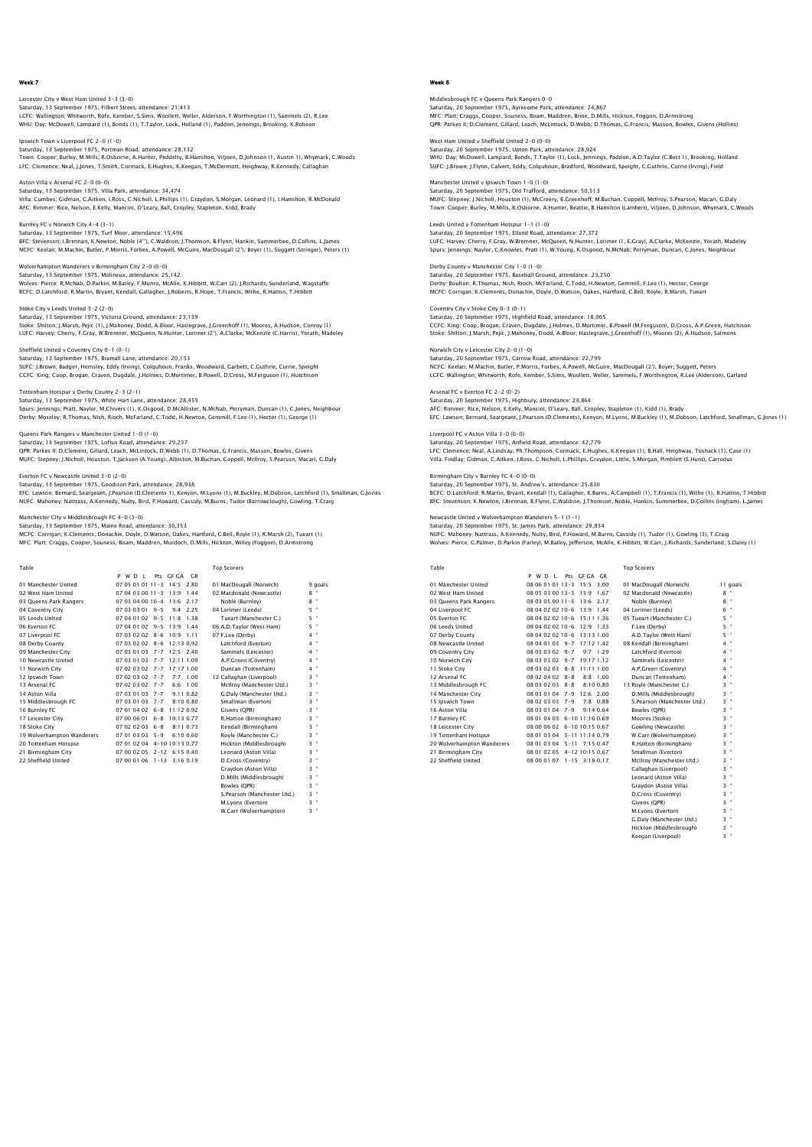# Leicester City v West Ham United 3–3 (3–0)<br>Saturday, 13 September 1975, Filbert Street, attendance: 21,413<br>LCFC: Wallington; Whitworth, Rofe, Kember, S.Sims, Woollett, Weller, Alderson, F.Worthington (1), Sammels (2), R.Le WHU: Day; McDowell, Lampard (1), Bonds (1), T.Taylor, Lock, Holland (1), Paddon, Jennings, Brooking, K.Robson

Ipswich Town v Liverpool FC 2–0 (1–0)<br>Saturday, 13 September 1975, Portman Road, attendance: 28,132<br>Town: Cooper; Burley, M.Mills, R.Osborne, A.Hunter, Peddelty, B.Hamilton, Viljoen, D.Johnson (1, Austin 1), Whymark, C.Woo LFC: Clemence; Neal, J.Jones, T.Smith, Cormack, E.Hughes, K.Keegan, T.McDermott, Heighway, R.Kennedy, Callaghan

Aston Villa v Arsenal FC 2-0 (0-0) Saturday, 13 September 1975, Villa Park, attendance: 34,474 Villa: Cumbes; Gidman, C.Aitken, I.Ross, C.Nicholl, L.Phillips (1), Graydon, S.Morgan, Leonard (1), I.Hamilton, R.McDonald AFC: Rimmer; Rice, Nelson, E.Kelly, Mancini, O'Leary, Ball, Cropley, Stapleton, Kidd, Brady

Burnley FC v Norwich City 4-4 (3-1) Saturday, 13 September 1975, Turf Moor, attendance: 15,496 BFC: Stevenson; I.Brennan, K.Newton, Noble (4''), C.Waldron, J.Thomson, B.Flynn, Hankin, Summerbee, D.Collins, L.James<br>NCFC: Keelan; M.Machin, Butler, P.Morris, Forbes, A.Powell, McGuire, MacDougall (2'), Boyer (1), Sugget

Wolverhampton Wanderers v Birmingham City 2-0 (0-0)<br>Saturday, 13 September 1975, Molineux, attendance: 25,142<br>Wolves: Pierce: R.McNab, D.Parkin, M.Bailey, F.Munro, McAlle, K.Hibbitt, W.Carr (2), J.Richards, Sunderland, Wag BCFC: D.Latchford; R.Martin, Bryant, Kendall, Gallagher, J.Roberts, R.Hope, T.Francis, Withe, R.Hatton, T.Hibbitt

Stoke City v Leeds United 3-2 (2-0) Saturday, 13 September 1975, Victoria Ground, attendance: 23,139 Stoke: Shilton; J.Marsh, Pejic (1), J.Mahoney, Dodd, A.Bloor, Haslegrave, J.Greenhoff (1), Moores, A.Hudson, Conroy (1) LUFC: Harvey; Cherry, F.Gray, W.Bremner, McQueen, N.Hunter, Lorimer (2'), A.Clarke, McKenzie (C.Harris), Yorath, Madeley

Sheffield United v Coventry City 0-1 (0-1) Saturday, 13 September 1975, Bramall Lane, attendance: 20,153 SUFC: J.Brown; Badger, Hemsley, Eddy (Irving), Colquhoun, Franks, Woodward, Garbett, C.Guthrie, Currie, Speight CCFC: King; Coop, Brogan, Craven, Dugdale, J.Holmes, D.Mortimer, B.Powell, D.Cross, M.Ferguson (1), Hutchison

Tottenham Hotspur v Derby County 2-3 (2-1) Saturday, 13 September 1975, White Hart Lane, attendance: 28,455 Spurs: Jennings; Pratt, Naylor, M.Chivers (1), K.Osgood, D.McAllister, N.McNab, Perryman, Duncan (1), C.Jones, Neighbour<br>Derby: Moseley; R.Thomas, Nish, Rioch, McFarland, C.Todd, H.Newton, Gemmill, F.Lee (1), Hector (1), G

Queens Park Rangers v Manchester United 1-0 (1-0) Saturday, 13 September 1975, Loftus Road, attendance: 29,237 QPR: Parkes II; D.Clement, Gillard, Leach, McLintock, D.Webb (1), D.Thomas, G.Francis, Masson, Bowles, Givens<br>MUFC: Stepney; J.Nicholl, Houston, T.Jackson (A.Young), Albiston, M.Buchan, Coppell, McIlroy, S.Pearson, Macari,

Everton FC v Newcastle United 3-0 (2-0) Saturday, 13 September 1975, Goodison Park, attendance: 28,938

EFC: Lawson; Bernard, Seargeant, J.Pearson (D.Clements 1), Kenyon, M.Lyons (1), M.Buckley, M.Dobson, Latchford (1), Smallman, G.Jones<br>NUFC: Mahoney; Nattrass, A.Kennedy, Nulty, Bird, P.Howard, Cassidy, M.Burns, Tudor (Barr

Manchester City v Middlesbrough FC 4-0 (3-0)

Saturday, 13 September 1975, Maine Road, attendance: 30,353

MCFC: Corrigan; K.Clements, Donachie, Doyle, D.Watson, Oakes, Hartford, C.Bell, Royle (1), R.Marsh (2), Tueart (1) MFC: Platt; Craggs, Cooper, Souness, Boam, Maddren, Murdoch, D.Mills, Hickton, Willey (Foggon), D.Armstrong

| Table                      |                           |                             | <b>Top Scorers</b>            |                     |
|----------------------------|---------------------------|-----------------------------|-------------------------------|---------------------|
|                            | P W D I                   | Pts GF GA GR                |                               |                     |
| 01 Manchester United       | $07.05.01.01.11 - 3.14.5$ | 2.80                        | 01 MacDougall (Norwich)       | 9 goals             |
| 02 West Ham United         | $07.04.03.00.11 - 3.13.9$ | 1.44                        | 02 Macdonald (Newcastle)      | $8 -$               |
| 03 Oueens Park Rangers     | 07 03 04 00 10-4 13:6     | 2.17                        | Noble (Burnley)               | $8$ "               |
| 04 Coventry City           | $070303019 - -5$          | $9-4$<br>2.25               | 04 Lorimer (Leeds)            | 5 "                 |
| 05 Leeds United            | $07.04.01.02$ 9-5 11:8    | 1.38                        | Tueart (Manchester C.)        | 5 "                 |
| 06 Everton EC              | 07 04 01 02 9-5           | 13:9<br>1.44                | 06 A.D.Taylor (West Ham)      | 5 "                 |
| 07 Liverpool FC            | $070302028 - 6$           | $10-9$<br>1.11              | 07 F.Lee (Derby)              | 4 "                 |
| 08 Derby County            |                           | 07 03 02 02 8-6 12:13 0.92  | Latchford (Everton)           | $4$ $\,$ $^{\circ}$ |
| 09 Manchester City         |                           | 07 03 01 03 7-7 12:5 2.40   | Sammels (Leicester)           | $4$ "               |
| 10 Newcastle United        |                           | 07 03 01 03 7-7 12:11 1.09  | A.P.Green (Coventry)          | $4$ "               |
| 11 Norwich City            | 07 02 03 02 7-7           | 17:17 1.00                  | Duncan (Tottenham)            | $4$ "               |
| 12 Ipswich Town            | $070203027 - -7$          | $7.7 \pm 1.00$              | 12 Callaghan (Liverpool)      | $3 -$               |
| 13 Arsenal FC              | $070203027 - -7$          | $6:6$ 1.00                  | McIlroy (Manchester Utd.)     | $3 -$               |
| 14 Aston Villa             | 07 03 01 03 7-7           | 9.110.82                    | G.Dalv (Manchester Utd.)      | $3$ "               |
| 15 Middlesbrough FC        | 07 03 01 03 7-7           | 8:100.80                    | Smallman (Everton)            | ×<br>3.             |
| 16 Burnley FC              |                           | 07 01 04 02 6-8 11:12 0.92  | Givens (OPR)                  | $3$ "               |
| 17 Leicester City          |                           | 07 00 06 01 6-8 10:13 0.77  | R.Hatton (Birmingham)         | $3$ "               |
| 18 Stoke City              | $070202036 - -8$          | 8:11 0.73                   | Kendall (Birmingham)          | ×<br>3              |
| 19 Wolverhampton Wanderers | 07 01 03 03 5-9           | 6:100.60                    | Rovle (Manchester C.)         | $3$ "               |
| 20 Tottenham Hotspur       |                           | 07 01 02 04 4-10 10:13 0.77 | Hickton (Middlesbrough)       | ×<br>3              |
| 21 Birmingham City         |                           | 07 00 02 05 2-12 6:15 0.40  | Leonard (Aston Villa)         | $3$ "               |
| 22 Sheffield United        |                           | 07 00 01 06 1-13 3:16 0.19  | D.Cross (Coventry)            | $3$ "               |
|                            |                           |                             | Gravdon (Aston Villa)         | ٠<br>3              |
|                            |                           |                             | D.Mills (Middlesbrough)       | $3$ "               |
|                            |                           |                             | Bowles (OPR)                  | $3 -$               |
|                            |                           |                             | C Dearcon (Manchester Litrl.) | $3 -$               |

 S.Pearson (Manchester Utd.) 3 " M.Lyons (Everton) 3 " W.Carr (Wolverhampton) 3 "

# Week 8

Middlesbrough FC v Queens Park Rangers 0-0 Saturday, 20 September 1975, Ayresome Park, attendance: 24,867 MFC: Platt; Craggs, Cooper, Souness, Boam, Maddren, Brine, D.Mills, Hickton, Foggon, D.Armstrong QPR: Parkes II; D.Clement, Gillard, Leach, McLintock, D.Webb, D.Thomas, G.Francis, Masson, Bowles, Givens (Hollins)

West Ham United v Sheffield United 2-0 (0-0) Saturday, 20 September 1975, Upton Park, attendance: 28,924 WHU: Day; McDowell, Lampard, Bonds, T.Taylor (1), Lock, Jennings, Paddon, A.D.Taylor (C.Best 1), Brooking, Holland SUFC: J.Brown; J.Flynn, Calvert, Eddy, Colquhoun, Bradford, Woodward, Speight, C.Guthrie, Currie (Irving), Field

Manchester United v Ipswich Town 1-0 (1-0) Manchester Onted Vipswich Town 1-0 (1-0)<br>Saturday, 20 September 1975, Old Trafford, attendance: 50,513 MUFC: Stepney; J.Nicholl, Houston (1), McCreery, B.Greenhoff, M.Buchan, Coppell, McIlroy, S.Pearson, Macari, G.Daly Town: Cooper; Burley, M.Mills, R.Osborne, A.Hunter, Beattie, B.Hamilton (Lambert), Viljoen, D.Johnson, Whymark, C.Woods

Leeds United v Tottenham Hotspur 1-1 (1-0) Saturday, 20 September 1975, Elland Road, attendance: 27,372 LUFC: Harvey; Cherry, F.Gray, W.Bremner, McQueen, N.Hunter, Lorimer (1, E.Gray), A.Clarke, McKenzie, Yorath, Madeley Spurs: Jennings; Naylor, C.Knowles, Pratt (1), W.Young, K.Osgood, N.McNab, Perryman, Duncan, C.Jones, Neighbour

Derby County v Manchester City 1-0 (1-0) Saturday, 20 September 1975, Baseball Ground, attendance: 23,250 Derby: Boulton; R.Thomas, Nish, Rioch, McFarland, C.Todd, H.Newton, Gemmill, F.Lee (1), Hector, George MCFC: Corrigan; K.Clements, Donachie, Doyle, D.Watson, Oakes, Hartford, C.Bell, Royle, R.Marsh, Tueart Coventry City v Stoke City 0-3 (0-1)

Saturday, 20 September 1975, Highfield Road, attendance: 18,965 CCFC: King; Coop, Brogan, Craven, Dugdale, J.Holmes, D.Mortimer, B.Powell (M.Ferguson), D.Cross, A.P.Green, Hutchison Stoke: Shilton; J.Marsh, Pejic, J.Mahoney, Dodd, A.Bloor, Haslegrave, J.Greenhoff (1), Moores (2), A.Hudson, Salmons Norwich City v Leicester City 2-0 (1-0) Saturday, 20 September 1975, Carrow Road, attendance: 22,799 NCFC: Keelan; M.Machin, Butler, P.Morris, Forbes, A.Powell, McGuire, MacDougall (2'), Boyer, Suggett, Peters

LCFC: Wallington; Whitworth, Rofe, Kember, S.Sims, Woollett, Weller, Sammels, F.Worthington, R.Lee (Alderson), Garland

Arsenal FC v Everton FC 2-2 (0-2) Saturday, 20 September 1975, Highbury, attendance: 24,864 AFC: Rimmer; Rice, Nelson, E.Kelly, Mancini, O'Leary, Ball, Cropley, Stapleton (1), Kidd (1), Brady EFC: Lawson; Bernard, Seargeant, J.Pearson (D.Clements), Kenyon, M.Lyons, M.Buckley (1), M.Dobson, Latchford, Smallman, G.Jones (1)

Liverpool FC v Aston Villa 3-0 (0-0) Saturday, 20 September 1975, Anfield Road, attendance: 42,779 LFC: Clemence; Neal, A.Lindsay, Ph.Thompson, Cormack, E.Hughes, K.Keegan (1), B.Hall, Heighway, Toshack (1), Case (1)<br>Villa: Findlay; Gidman, C.Aitken, I.Ross, C.Nicholl, L.Phillips, Graydon, Little, S.Morqan, Pimblett (S.

Birmingham City v Burnley FC 4-0 (0-0) Saturday, 20 September 1975, St. Andrew's, attendance: 25,830 BCFC: D.Latchford; R.Martin, Bryant, Kendall (1), Gallagher, K.Burns, A.Campbell (1), T.Francis (1), Withe (1), R.Hatton, T.Hibbitt<br>BFC: Stevenson; K.Newton, I.Brennan, B.Flynn, C.Waldron, J.Thomson, Noble, Hankin, Summerb

Newcastle United v Wolverhampton Wanderers 5-1 (1-1) Saturday, 20 September 1975, St. James Park, attendance: 29,834 NUFC: Mahoney; Nattrass, A.Kennedy, Nulty, Bird, P.Howard, M.Burns, Cassidy (1), Tudor (1), Gowling (3), T.Craig Wolves: Pierce; G.Palmer, D.Parkin (Farley), M.Bailey, Jefferson, McAlle, K.Hibbitt, W.Carr, J.Richards, Sunderland, S.Daley (1)

| Table                      |                                 | <b>Top Scorers</b>          |          |
|----------------------------|---------------------------------|-----------------------------|----------|
|                            | Pts GE GA GR<br>P W D I         |                             |          |
| 01 Manchester United       | 08 06 01 01 13-3 15:5 3.00      | 01 MacDougall (Norwich)     | 11 goals |
| 02 West Ham United         | 08 05 03 00 13-3 15:9 1.67      | 02 Macdonald (Newcastle)    | $8 -$    |
| 03 Oueens Park Rangers     | 08 03 05 00 11 - 5 13:6 2.17    | Noble (Burnley)             | $8 -$    |
| 04 Liverpool FC            | 08 04 02 02 10-6 13:9 1.44      | 04 Lorimer (Leeds)          | $6 -$    |
| 05 Everton EC              | 08 04 02 02 10-6 15:11 1.36     | 05 Tueart (Manchester C.)   | $5 -$    |
| 06 Leeds United            | 08 04 02 02 10-6 12:9 1.33      | F.Lee (Derby)               | $5 -$    |
| 07 Derby County            | 08 04 02 02 10-6 13:13 1.00     | A.D.Tavlor (West Ham)       | 5. "     |
| 08 Newcastle United        | 08 04 01 03 9-7 17:12 1.42      | 08 Kendall (Birmingham)     | $4 -$    |
| 09 Coventry City           | 08 03 03 02 9-7<br>$9.7$ 1.29   | Latchford (Everton)         | $4 -$    |
| 10 Norwich City            | 08 03 03 02 9-7 19:17 1.12      | Sammels (Leicester)         | $4 -$    |
| 11 Stoke City              | 08.03.02.03 8-8 11:11 1.00      | A.P.Green (Coventry)        | $4 -$    |
| 12 Arsenal FC              | $080204028 - -8$<br>$8.8$ 1.00  | Duncan (Tottenham)          | $4 -$    |
| 13 Middlesbrough FC        | 08 03 02 03 8-8<br>8:100.80     | 13 Royle (Manchester C.)    | $3 -$    |
| 14 Manchester City         | 08 03 01 04 7-9 12:6 2.00       | D.Mills (Middlesbrough)     | $3 -$    |
| 15 Ipswich Town            | 08 02 03 03 7-9<br>$7.8 \t0.88$ | S.Pearson (Manchester Utd.) | $3 -$    |
| 16 Aston Villa             | 08 03 01 04 7-9<br>9.140.64     | Bowles (QPR)                | $3 -$    |
| 17 Burnley FC              | 08 01 04 03 6-10 11:16 0.69     | Moores (Stoke)              | $3 -$    |
| 18 Leicester City          | 08 00 06 02 6-10 10:15 0.67     | Gowling (Newcastle)         | $3 -$    |
| 19 Tottenham Hotspur       | 08 01 03 04 5-11 11:14 0.79     | W.Carr (Wolverhampton)      | $3 -$    |
| 20 Wolverhampton Wanderers | 08 01 03 04 5-11 7:15 0.47      | R.Hatton (Birmingham)       | $3 -$    |
| 21 Birmingham City         | 08 01 02 05 4-12 10:15 0.67     | Smallman (Everton)          | $3 -$    |
| 22 Sheffield United        | 08 00 01 07 1-15 3:18 0.17      | McIlrov (Manchester Utd.)   | $3 -$    |
|                            |                                 | Callaghan (Liverpool)       | $3 -$    |
|                            |                                 | Leonard (Aston Villa)       | $3 -$    |
|                            |                                 | Gravdon (Aston Villa)       | $3 -$    |
|                            |                                 | D.Cross (Coventry)          | $3 -$    |
|                            |                                 | Givens (OPR)                | $3 -$    |

M.Lyons (Everton) G.Daly (Manchester Utd.) Hickton (Middlesbrough) Keegan (Liverpool)